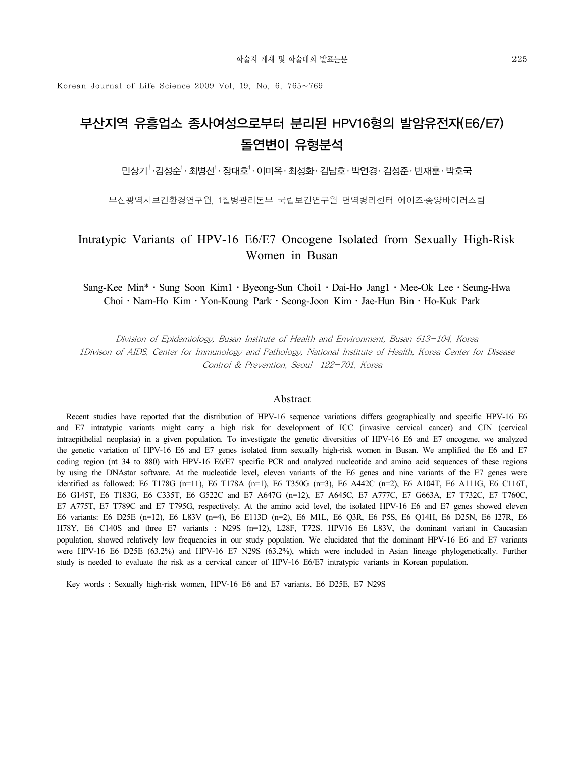Korean Journal of Life Science 2009 Vol. 19. No. 6. 765~769

# 부산지역 유흥업소 종사여성으로부터 분리된 HPV16형의 발암유전자(E6/E7) 돌연변이 유형분석

민상기<sup>†</sup>·김성순<sup>1</sup>· 최병선<sup>1</sup>· 장대호<sup>1</sup>· 이미옥· 최성화· 김남호·박연경· 김성준·빈재훈·박호국

부산광역시보건환경연구원, 1질병관리본부 국립보건연구원 면역병리센터 에이즈․종양바이러스팀

### Intratypic Variants of HPV-16 E6/E7 Oncogene Isolated from Sexually High-Risk Women in Busan

Sang-Kee Min<sup>\*</sup> · Sung Soon Kim1 · Byeong-Sun Choi1 · Dai-Ho Jang1 · Mee-Ok Lee · Seung-Hwa Choi․Nam-Ho Kim․Yon-Koung Park․Seong-Joon Kim․Jae-Hun Bin․Ho-Kuk Park

Division of Epidemiology, Busan Institute of Health and Environment, Busan 613-104, Korea 1Divison of AIDS, Center for Immunology and Pathology, National Institute of Health, Korea Center for Disease Control & Prevention, Seoul 122-701, Korea

#### Abstract

Recent studies have reported that the distribution of HPV-16 sequence variations differs geographically and specific HPV-16 E6 and E7 intratypic variants might carry a high risk for development of ICC (invasive cervical cancer) and CIN (cervical intraepithelial neoplasia) in a given population. To investigate the genetic diversities of HPV-16 E6 and E7 oncogene, we analyzed the genetic variation of HPV-16 E6 and E7 genes isolated from sexually high-risk women in Busan. We amplified the E6 and E7 coding region (nt 34 to 880) with HPV-16 E6/E7 specific PCR and analyzed nucleotide and amino acid sequences of these regions by using the DNAstar software. At the nucleotide level, eleven variants of the E6 genes and nine variants of the E7 genes were identified as followed: E6 T178G (n=11), E6 T178A (n=1), E6 T350G (n=3), E6 A442C (n=2), E6 A104T, E6 A111G, E6 C116T, E6 G145T, E6 T183G, E6 C335T, E6 G522C and E7 A647G (n=12), E7 A645C, E7 A777C, E7 G663A, E7 T732C, E7 T760C, E7 A775T, E7 T789C and E7 T795G, respectively. At the amino acid level, the isolated HPV-16 E6 and E7 genes showed eleven E6 variants: E6 D25E (n=12), E6 L83V (n=4), E6 E113D (n=2), E6 M1L, E6 Q3R, E6 P5S, E6 Q14H, E6 D25N, E6 I27R, E6 H78Y, E6 C140S and three E7 variants : N29S (n=12), L28F, T72S. HPV16 E6 L83V, the dominant variant in Caucasian population, showed relatively low frequencies in our study population. We elucidated that the dominant HPV-16 E6 and E7 variants were HPV-16 E6 D25E (63.2%) and HPV-16 E7 N29S (63.2%), which were included in Asian lineage phylogenetically. Further study is needed to evaluate the risk as a cervical cancer of HPV-16 E6/E7 intratypic variants in Korean population.

Key words : Sexually high-risk women, HPV-16 E6 and E7 variants, E6 D25E, E7 N29S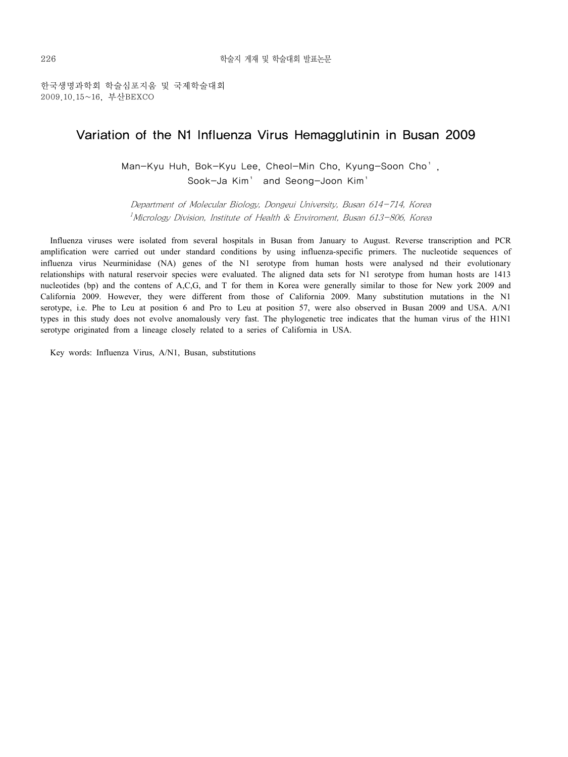한국생명과학회 학술심포지움 및 국제학술대회 2009.10.15~16, 부산BEXCO

### Variation of the N1 Influenza Virus Hemagglutinin in Busan 2009

Man-Kyu Huh, Bok-Kyu Lee, Cheol-Min Cho, Kyung-Soon Cho1, Sook-Ja Kim<sup>1</sup> and Seong-Joon Kim<sup>1</sup>

Department of Molecular Biology, Dongeui University, Busan 614-714, Korea  $1$ Micrology Division, Institute of Health & Enviroment, Busan 613–806, Korea

Influenza viruses were isolated from several hospitals in Busan from January to August. Reverse transcription and PCR amplification were carried out under standard conditions by using influenza-specific primers. The nucleotide sequences of influenza virus Neurminidase (NA) genes of the N1 serotype from human hosts were analysed nd their evolutionary relationships with natural reservoir species were evaluated. The aligned data sets for N1 serotype from human hosts are 1413 nucleotides (bp) and the contens of A,C,G, and T for them in Korea were generally similar to those for New york 2009 and California 2009. However, they were different from those of California 2009. Many substitution mutations in the N1 serotype, i.e. Phe to Leu at position 6 and Pro to Leu at position 57, were also observed in Busan 2009 and USA. A/N1 types in this study does not evolve anomalously very fast. The phylogenetic tree indicates that the human virus of the H1N1 serotype originated from a lineage closely related to a series of California in USA.

Key words: Influenza Virus, A/N1, Busan, substitutions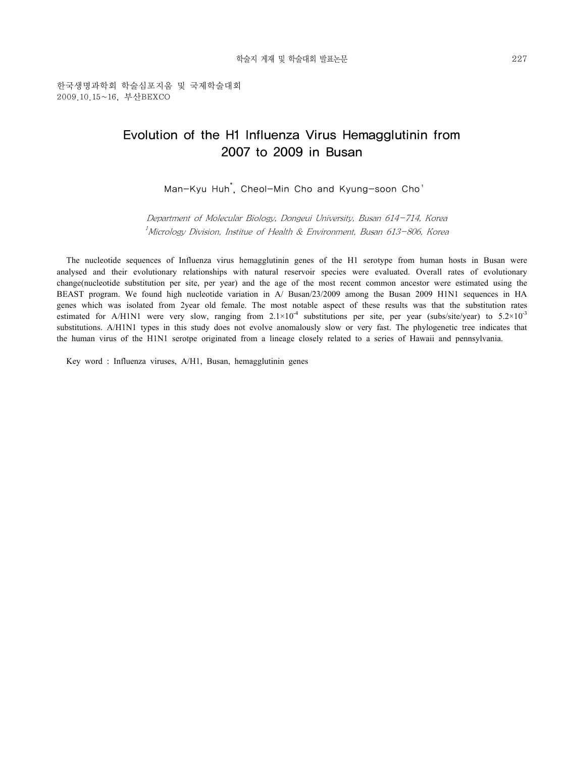## Evolution of the H1 Influenza Virus Hemagglutinin from 2007 to 2009 in Busan

Man-Kyu Huh<sup>\*</sup>, Cheol-Min Cho and Kyung-soon Cho<sup>1</sup>

Department of Molecular Biology, Dongeui University, Busan 614-714, Korea  $1$ Micrology Division, Institue of Health & Environment, Busan 613–806, Korea

The nucleotide sequences of Influenza virus hemagglutinin genes of the H1 serotype from human hosts in Busan were analysed and their evolutionary relationships with natural reservoir species were evaluated. Overall rates of evolutionary change(nucleotide substitution per site, per year) and the age of the most recent common ancestor were estimated using the BEAST program. We found high nucleotide variation in A/ Busan/23/2009 among the Busan 2009 H1N1 sequences in HA genes which was isolated from 2year old female. The most notable aspect of these results was that the substitution rates estimated for A/H1N1 were very slow, ranging from  $2.1 \times 10^{-4}$  substitutions per site, per year (subs/site/year) to  $5.2 \times 10^{-3}$ substitutions. A/H1N1 types in this study does not evolve anomalously slow or very fast. The phylogenetic tree indicates that the human virus of the H1N1 serotpe originated from a lineage closely related to a series of Hawaii and pennsylvania.

Key word : Influenza viruses, A/H1, Busan, hemagglutinin genes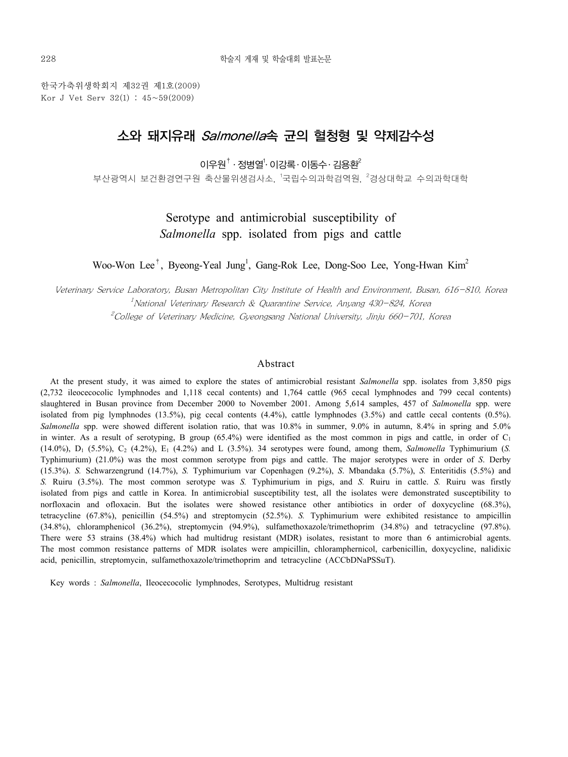한국가축위생학회지 제32권 제1호(2009) Kor J Vet Serv  $32(1)$ :  $45 \sim 59(2009)$ 

## 소와 돼지유래 Salmonella속 균의 혈청형 및 약제감수성

이우원 $^{\dagger}$  · 정병열 $^{\dagger}$ · 이강록 · 이동수 · 김용환 $^{\dagger}$ 

부산광역시 보건환경연구원 축산물위생검사소, <sup>1</sup>국립수의과학검역원, <sup>2</sup>경상대학교 수의과학대학

### Serotype and antimicrobial susceptibility of *Salmonella* spp. isolated from pigs and cattle

Woo-Won Lee<sup>†</sup>, Byeong-Yeal Jung<sup>1</sup>, Gang-Rok Lee, Dong-Soo Lee, Yong-Hwan Kim<sup>2</sup>

Veterinary Service Laboratory, Busan Metropolitan City Institute of Health and Environment, Busan, 616-810, Korea  $^1$ National Veterinary Research & Quarantine Service, Anyang 430–824, Korea  $2^2$ College of Veterinary Medicine, Gyeongsang National University, Jinju 660–701, Korea

#### Abstract

At the present study, it was aimed to explore the states of antimicrobial resistant *Salmonella* spp. isolates from 3,850 pigs (2,732 ileocecocolic lymphnodes and 1,118 cecal contents) and 1,764 cattle (965 cecal lymphnodes and 799 cecal contents) slaughtered in Busan province from December 2000 to November 2001. Among 5,614 samples, 457 of *Salmonella* spp. were isolated from pig lymphnodes (13.5%), pig cecal contents (4.4%), cattle lymphnodes (3.5%) and cattle cecal contents (0.5%). *Salmonella* spp. were showed different isolation ratio, that was 10.8% in summer, 9.0% in autumn, 8.4% in spring and 5.0% in winter. As a result of serotyping, B group  $(65.4%)$  were identified as the most common in pigs and cattle, in order of  $C_1$ (14.0%), D1 (5.5%), C2 (4.2%), E1 (4.2%) and L (3.5%). 34 serotypes were found, among them, *Salmonella* Typhimurium (*S.*  Typhimurium) (21.0%) was the most common serotype from pigs and cattle. The major serotypes were in order of *S*. Derby (15.3%). *S.* Schwarzengrund (14.7%), *S.* Typhimurium var Copenhagen (9.2%), *S*. Mbandaka (5.7%), *S.* Enteritidis (5.5%) and *S.* Ruiru (3.5%). The most common serotype was *S.* Typhimurium in pigs, and *S.* Ruiru in cattle. *S.* Ruiru was firstly isolated from pigs and cattle in Korea. In antimicrobial susceptibility test, all the isolates were demonstrated susceptibility to norfloxacin and ofloxacin. But the isolates were showed resistance other antibiotics in order of doxycycline (68.3%), tetracycline (67.8%), penicillin (54.5%) and streptomycin (52.5%). *S.* Typhimurium were exhibited resistance to ampicillin (34.8%), chloramphenicol (36.2%), streptomycin (94.9%), sulfamethoxazole/trimethoprim (34.8%) and tetracycline (97.8%). There were 53 strains (38.4%) which had multidrug resistant (MDR) isolates, resistant to more than 6 antimicrobial agents. The most common resistance patterns of MDR isolates were ampicillin, chloramphernicol, carbenicillin, doxycycline, nalidixic acid, penicillin, streptomycin, sulfamethoxazole/trimethoprim and tetracycline (ACCbDNaPSSuT).

Key words : *Salmonella*, Ileocecocolic lymphnodes, Serotypes, Multidrug resistant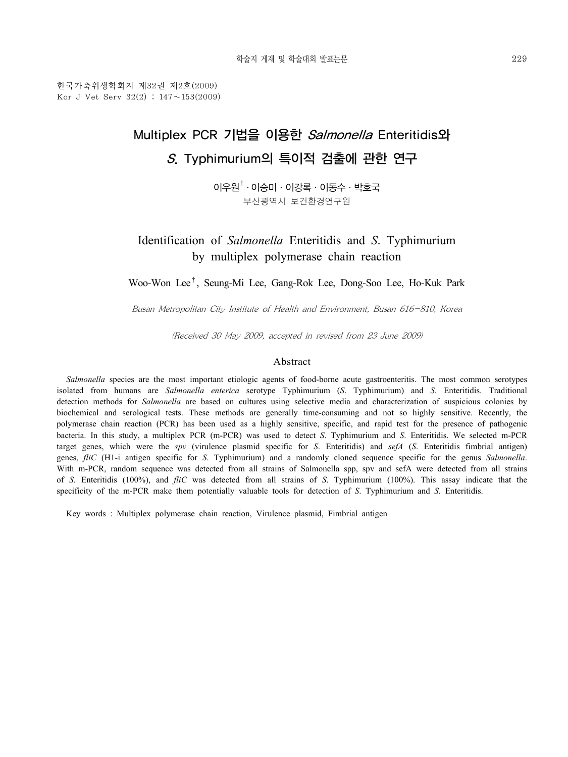한국가축위생학회지 제32권 제2호(2009) Kor J Vet Serv 32(2) : 147∼153(2009)

# Multiplex PCR 기법을 이용한 Salmonella Enteritidis와 S. Typhimurium의 특이적 검출에 관한 연구

 $0$ |우원 $^{\dagger}$ ·이승미 · 이강록 · 이동수 · 박호국 부산광역시 보건환경연구원

Identification of *Salmonella* Enteritidis and *S*. Typhimurium by multiplex polymerase chain reaction

Woo-Won Lee†, Seung-Mi Lee, Gang-Rok Lee, Dong-Soo Lee, Ho-Kuk Park

Busan Metropolitan City Institute of Health and Environment, Busan 616-810, Korea

(Received 30 May 2009, accepted in revised from 23 June 2009)

#### Abstract

*Salmonella* species are the most important etiologic agents of food-borne acute gastroenteritis. The most common serotypes isolated from humans are *Salmonella enterica* serotype Typhimurium (*S*. Typhimurium) and *S.* Enteritidis. Traditional detection methods for *Salmonella* are based on cultures using selective media and characterization of suspicious colonies by biochemical and serological tests. These methods are generally time-consuming and not so highly sensitive. Recently, the polymerase chain reaction (PCR) has been used as a highly sensitive, specific, and rapid test for the presence of pathogenic bacteria. In this study, a multiplex PCR (m-PCR) was used to detect *S*. Typhimurium and *S*. Enteritidis. We selected m-PCR target genes, which were the *spv* (virulence plasmid specific for *S*. Enteritidis) and *sefA* (*S*. Enteritidis fimbrial antigen) genes, *fliC* (H1-i antigen specific for *S*. Typhimurium) and a randomly cloned sequence specific for the genus *Salmonella*. With m-PCR, random sequence was detected from all strains of Salmonella spp, spv and sefA were detected from all strains of *S*. Enteritidis (100%), and *fliC* was detected from all strains of *S*. Typhimurium (100%). This assay indicate that the specificity of the m-PCR make them potentially valuable tools for detection of *S*. Typhimurium and *S*. Enteritidis.

Key words : Multiplex polymerase chain reaction, Virulence plasmid, Fimbrial antigen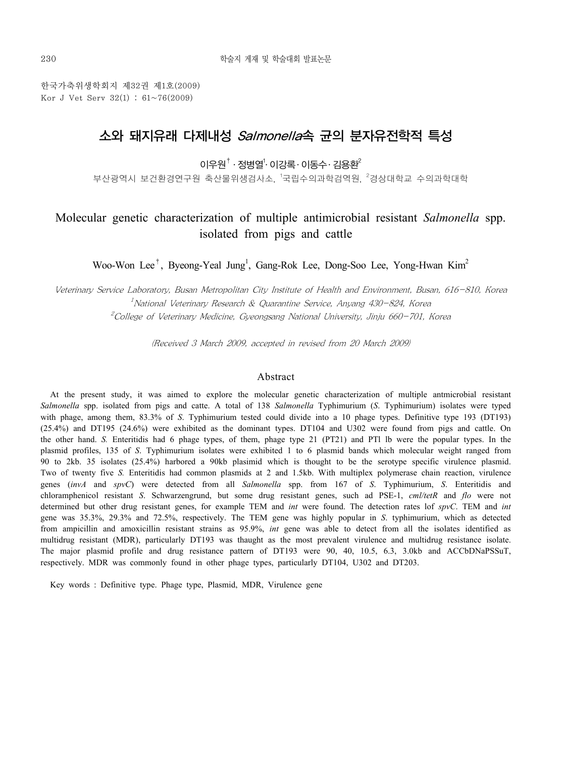한국가축위생학회지 제32권 제1호(2009) Kor J Vet Serv  $32(1)$ :  $61~76(2009)$ 

## 소와 돼지유래 다제내성 Salmonella속 균의 분자유전학적 특성

이우원 $^{\dagger}$  · 정병열 $^{\dagger}$ · 이강록 · 이동수 · 김용환 $^{\dagger}$ 

부산광역시 보건환경연구원 축산물위생검사소, <sup>1</sup>국립수의과학검역원, <sup>2</sup>경상대학교 수의과학대학

### Molecular genetic characterization of multiple antimicrobial resistant *Salmonella* spp. isolated from pigs and cattle

Woo-Won Lee<sup>†</sup>, Byeong-Yeal Jung<sup>1</sup>, Gang-Rok Lee, Dong-Soo Lee, Yong-Hwan Kim<sup>2</sup>

Veterinary Service Laboratory, Busan Metropolitan City Institute of Health and Environment, Busan, 616-810, Korea  $^1$ National Veterinary Research & Quarantine Service, Anyang 430–824, Korea  $2^2$ College of Veterinary Medicine, Gyeongsang National University, Jinju 660–701, Korea

(Received 3 March 2009, accepted in revised from 20 March 2009)

#### Abstract

At the present study, it was aimed to explore the molecular genetic characterization of multiple antmicrobial resistant *Salmonella* spp. isolated from pigs and catte. A total of 138 *Salmonella* Typhimurium (*S*. Typhimurium) isolates were typed with phage, among them, 83.3% of *S*. Typhimurium tested could divide into a 10 phage types. Definitive type 193 (DT193) (25.4%) and DT195 (24.6%) were exhibited as the dominant types. DT104 and U302 were found from pigs and cattle. On the other hand. *S.* Enteritidis had 6 phage types, of them, phage type 21 (PT21) and PTl lb were the popular types. In the plasmid profiles, 135 of *S*. Typhimurium isolates were exhibited 1 to 6 plasmid bands which molecular weight ranged from 90 to 2kb. 35 isolates (25.4%) harbored a 90kb plasimid which is thought to be the serotype specific virulence plasmid. Two of twenty five *S.* Enteritidis had common plasmids at 2 and 1.5kb. With multiplex polymerase chain reaction, virulence genes (*invA* and *spvC*) were detected from all *Salmonella* spp. from 167 of *S*. Typhimurium, *S*. Enteritidis and chloramphenicol resistant *S*. Schwarzengrund, but some drug resistant genes, such ad PSE-1, *cml/tetR* and *flo* were not determined but other drug resistant genes, for example TEM and *int* were found. The detection rates lof *spvC*. TEM and *int* gene was 35.3%, 29.3% and 72.5%, respectively. The TEM gene was highly popular in *S*. typhimurium, which as detected from ampicillin and amoxicillin resistant strains as 95.9%, *int* gene was able to detect from all the isolates identified as multidrug resistant (MDR), particularly DT193 was thaught as the most prevalent virulence and multidrug resistance isolate. The major plasmid profile and drug resistance pattern of DT193 were 90, 40, 10.5, 6.3, 3.0kb and ACCbDNaPSSuT, respectively. MDR was commonly found in other phage types, particularly DT104, U302 and DT203.

Key words : Definitive type. Phage type, Plasmid, MDR, Virulence gene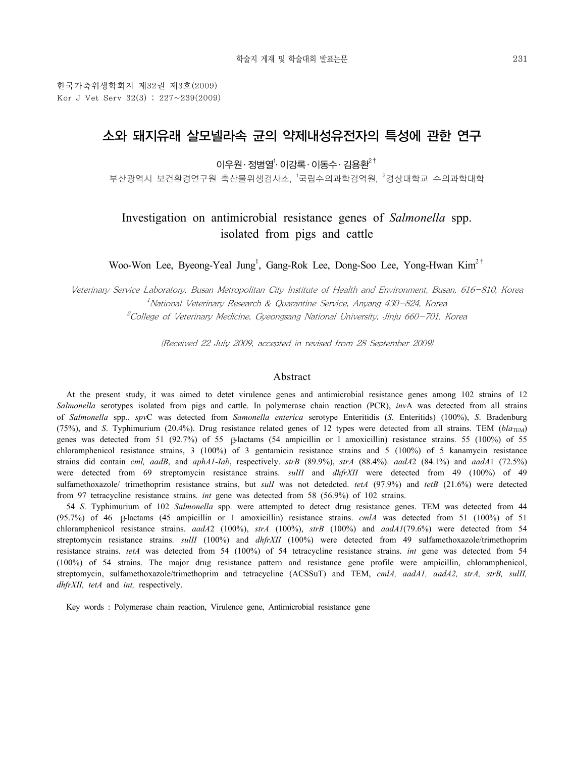한국가축위생학회지 제32권 제3호(2009) Kor J Vet Serv  $32(3)$ :  $227 \sim 239(2009)$ 

## 소와 돼지유래 살모넬라속 균의 약제내성유전자의 특성에 관한 연구

이우원· 정병열<sup>1</sup>· 이강록· 이동수· 김용환 $^{2^{\dagger}}$ 

부산광역시 보건환경연구원 축산물위생검사소, <sup>1</sup>국립수의과학검역원, <sup>2</sup>경상대학교 수의과학대학

### Investigation on antimicrobial resistance genes of *Salmonella* spp. isolated from pigs and cattle

Woo-Won Lee, Byeong-Yeal Jung<sup>1</sup>, Gang-Rok Lee, Dong-Soo Lee, Yong-Hwan Kim<sup>2†</sup>

Veterinary Service Laboratory, Busan Metropolitan City Institute of Health and Environment, Busan, 616-810, Korea  $1$ National Veterinary Research & Quarantine Service, Anyang 430–824, Korea  $^{2}$ College of Veterinary Medicine, Gyeongsang National University, Jinju 660–701, Korea

(Received 22 July 2009, accepted in revised from 28 September 2009)

#### Abstract

At the present study, it was aimed to detet virulence genes and antimicrobial resistance genes among 102 strains of 12 *Salmonella* serotypes isolated from pigs and cattle. In polymerase chain reaction (PCR), *inv*A was detected from all strains of *Salmonella* spp.. *spv*C was detected from *Samonella enterica* serotype Enteritidis (*S*. Enteritids) (100%), *S*. Bradenburg (75%), and *S*. Typhimurium (20.4%). Drug resistance related genes of 12 types were detected from all strains. TEM ( $bla_{\text{TEM}}$ ) genes was detected from 51 (92.7%) of 55 β-lactams (54 ampicillin or l amoxicillin) resistance strains. 55 (100%) of 55 chloramphenicol resistance strains, 3 (100%) of 3 gentamicin resistance strains and 5 (100%) of 5 kanamycin resistance strains did contain *cml, aadB*, and *aphA1*-*Iab*, respectively. *strB* (89.9%), *strA* (88.4%). *aadA*2 (84.1%) and *aadA*1 (72.5%) were detected from 69 streptomycin resistance strains. *sulII* and *dhfrXII* were detected from 49 (100%) of 49 sulfamethoxazole/ trimethoprim resistance strains, but *sulI* was not detedcted. *tetA* (97.9%) and *tetB* (21.6%) were detected from 97 tetracycline resistance strains. *int* gene was detected from 58 (56.9%) of 102 strains.

54 *S*. Typhimurium of 102 *Salmonella* spp. were attempted to detect drug resistance genes. TEM was detected from 44 (95.7%) of 46 β-lactams (45 ampicillin or 1 amoxicillin) resistance strains. *cmlA* was detected from 51 (100%) of 51 chloramphenicol resistance strains. *aadA*2 (100%), *strA* (100%), *strB* (100%) and *aadA1*(79.6%) were detected from 54 streptomycin resistance strains. *sulII* (100%) and *dhfrXII* (100%) were detected from 49 sulfamethoxazole/trimethoprim resistance strains. *tetA* was detected from 54 (100%) of 54 tetracycline resistance strains. *int* gene was detected from 54 (100%) of 54 strains. The major drug resistance pattern and resistance gene profile were ampicillin, chloramphenicol, streptomycin, sulfamethoxazole/trimethoprim and tetracycline (ACSSuT) and TEM, *cmlA, aadA1, aadA2, strA, strB, sulII, dhfrXII, tetA* and *int,* respectively.

Key words : Polymerase chain reaction, Virulence gene, Antimicrobial resistance gene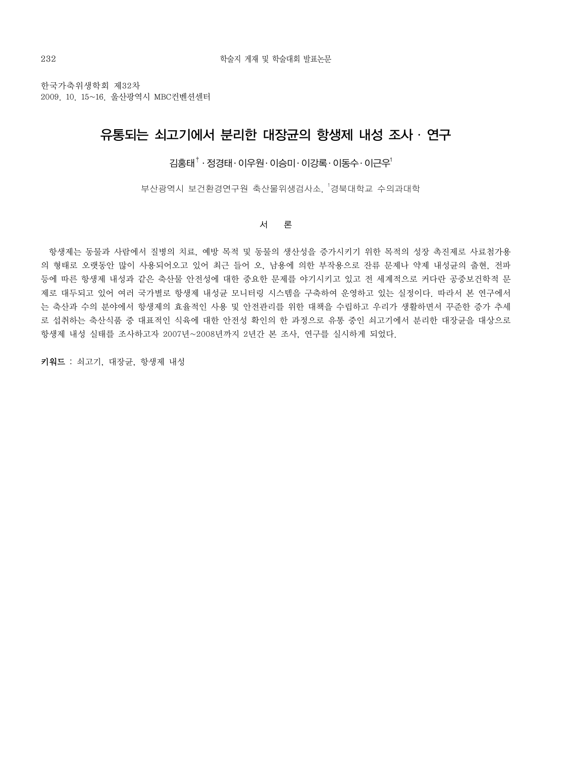한국가축위생학회 제32차 2009. 10. 15~16. 울산광역시 MBC컨벤션센터

### 유통되는 쇠고기에서 분리한 대장균의 항생제 내성 조사 ․ 연구

김홍태† ․ 정경태․ 이우원․ 이승미․ 이강록․ 이동수․ 이근우1

.<br>부산광역시 보건환경연구원 축산물위생검사소, <sup>1</sup>경북대학교 수의과대학

#### 서 론

 항생제는 동물과 사람에서 질병의 치료, 예방 목적 및 동물의 생산성을 증가시키기 위한 목적의 성장 촉진제로 사료첨가용 의 형태로 오랫동안 많이 사용되어오고 있어 최근 들어 오, 남용에 의한 부작용으로 잔류 문제나 약제 내성균의 출현, 전파 등에 따른 항생제 내성과 같은 축산물 안전성에 대한 중요한 문제를 야기시키고 있고 전 세계적으로 커다란 공중보건학적 문 제로 대두되고 있어 여러 국가별로 항생제 내성균 모니터링 시스템을 구축하여 운영하고 있는 실정이다. 따라서 본 연구에서 는 축산과 수의 분야에서 항생제의 효율적인 사용 및 안전관리를 위한 대책을 수립하고 우리가 생활하면서 꾸준한 증가 추세 로 섭취하는 축산식품 중 대표적인 식육에 대한 안전성 확인의 한 과정으로 유통 중인 쇠고기에서 분리한 대장균을 대상으로 항생제 내성 실태를 조사하고자 2007년~2008년까지 2년간 본 조사, 연구를 실시하게 되었다.

키워드 : 쇠고기, 대장균, 항생제 내성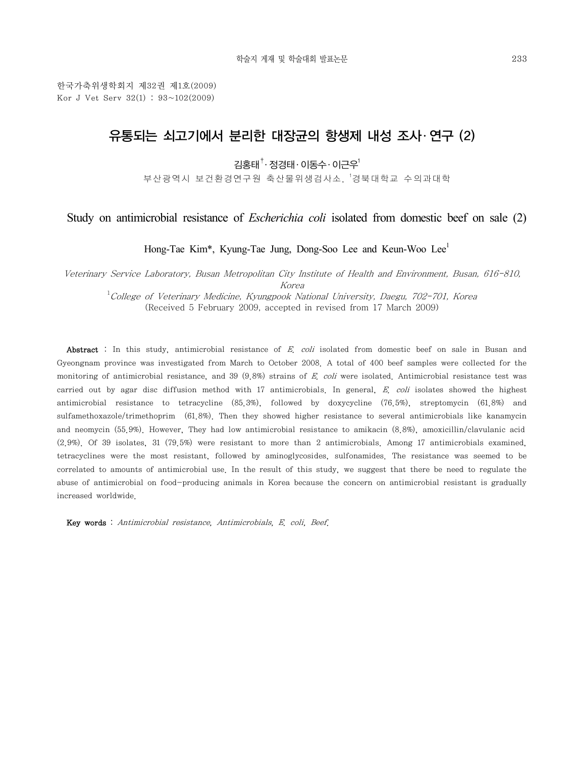한국가축위생학회지 제32권 제1호(2009) Kor J Vet Serv 32(1) : 93~102(2009)

## 유통되는 쇠고기에서 분리한 대장균의 항생제 내성 조사․ 연구 (2)

김홍태†․ 정경태․ 이동수․ 이근우1

부산광역시 보건환경연구원 축산물위생검사소, <sup>1</sup>경북대학교 수의과대학

### Study on antimicrobial resistance of *Escherichia coli* isolated from domestic beef on sale (2)

Hong-Tae Kim<sup>\*</sup>, Kyung-Tae Jung, Dong-Soo Lee and Keun-Woo Lee<sup>1</sup>

Veterinary Service Laboratory, Busan Metropolitan City Institute of Health and Environment, Busan, 616-810, Korea

<sup>1</sup>College of Veterinary Medicine, Kyungpook National University, Daegu, 702-701, Korea (Received 5 February 2009, accepted in revised from 17 March 2009)

Abstract : In this study, antimicrobial resistance of E. coli isolated from domestic beef on sale in Busan and Gyeongnam province was investigated from March to October 2008. A total of 400 beef samples were collected for the monitoring of antimicrobial resistance, and 39 (9.8%) strains of E. coli were isolated. Antimicrobial resistance test was carried out by agar disc diffusion method with  $17$  antimicrobials. In general, E. coli isolates showed the highest antimicrobial resistance to tetracycline (85.3%), followed by doxycycline (76.5%), streptomycin (61.8%) and sulfamethoxazole/trimethoprim (61.8%). Then they showed higher resistance to several antimicrobials like kanamycin and neomycin (55.9%). However, They had low antimicrobial resistance to amikacin (8.8%), amoxicillin/clavulanic acid (2.9%). Of 39 isolates, 31 (79.5%) were resistant to more than 2 antimicrobials. Among 17 antimicrobials examined, tetracyclines were the most resistant, followed by aminoglycosides, sulfonamides. The resistance was seemed to be correlated to amounts of antimicrobial use. In the result of this study, we suggest that there be need to regulate the abuse of antimicrobial on food-producing animals in Korea because the concern on antimicrobial resistant is gradually increased worldwide.

Key words : Antimicrobial resistance, Antimicrobials, E. coli, Beef.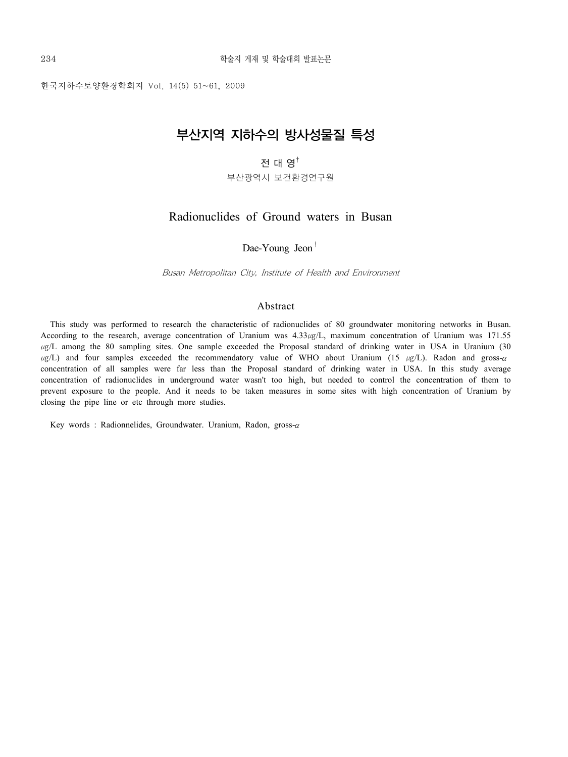한국지하수토양환경학회지 Vol. 14(5) 51~61, 2009

## 부산지역 지하수의 방사성물질 특성

### 전 대 영†

부산광역시 보건환경연구원

### Radionuclides of Ground waters in Busan

Dae-Young Jeon<sup>†</sup>

Busan Metropolitan City, Institute of Health and Environment

### Abstract

This study was performed to research the characteristic of radionuclides of 80 groundwater monitoring networks in Busan. According to the research, average concentration of Uranium was  $4.33\mu g/L$ , maximum concentration of Uranium was 171.55  $\mu$ g/L among the 80 sampling sites. One sample exceeded the Proposal standard of drinking water in USA in Uranium (30  $\mu$ g/L) and four samples exceeded the recommendatory value of WHO about Uranium (15  $\mu$ g/L). Radon and gross-α concentration of all samples were far less than the Proposal standard of drinking water in USA. In this study average concentration of radionuclides in underground water wasn't too high, but needed to control the concentration of them to prevent exposure to the people. And it needs to be taken measures in some sites with high concentration of Uranium by closing the pipe line or etc through more studies.

Key words : Radionnelides, Groundwater. Uranium, Radon, gross-α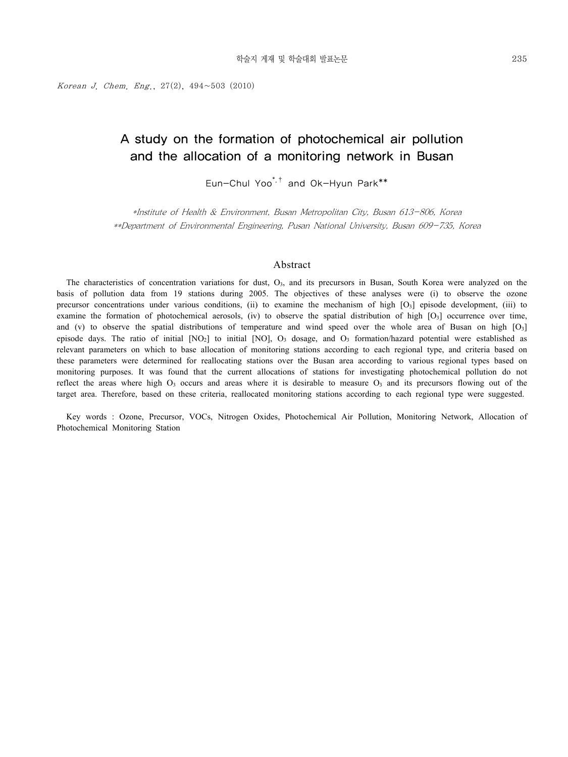Korean J. Chem. Eng.,  $27(2)$ ,  $494~503$  (2010)

### A study on the formation of photochemical air pollution and the allocation of a monitoring network in Busan

Eun-Chul Yoo\*,† and Ok-Hyun Park\*\*

\*Institute of Health & Environment, Busan Metropolitan City, Busan 613-806, Korea \*\*Department of Environmental Engineering, Pusan National University, Busan 609-735, Korea

#### Abstract

The characteristics of concentration variations for dust,  $O<sub>3</sub>$ , and its precursors in Busan, South Korea were analyzed on the basis of pollution data from 19 stations during 2005. The objectives of these analyses were (i) to observe the ozone precursor concentrations under various conditions, (ii) to examine the mechanism of high [O3] episode development, (iii) to examine the formation of photochemical aerosols, (iv) to observe the spatial distribution of high  $[O_3]$  occurrence over time, and (v) to observe the spatial distributions of temperature and wind speed over the whole area of Busan on high  $[O<sub>3</sub>]$ episode days. The ratio of initial  $[NO_2]$  to initial  $[NO_1]$ ,  $O_3$  dosage, and  $O_3$  formation/hazard potential were established as relevant parameters on which to base allocation of monitoring stations according to each regional type, and criteria based on these parameters were determined for reallocating stations over the Busan area according to various regional types based on monitoring purposes. It was found that the current allocations of stations for investigating photochemical pollution do not reflect the areas where high  $O<sub>3</sub>$  occurs and areas where it is desirable to measure  $O<sub>3</sub>$  and its precursors flowing out of the target area. Therefore, based on these criteria, reallocated monitoring stations according to each regional type were suggested.

Key words : Ozone, Precursor, VOCs, Nitrogen Oxides, Photochemical Air Pollution, Monitoring Network, Allocation of Photochemical Monitoring Station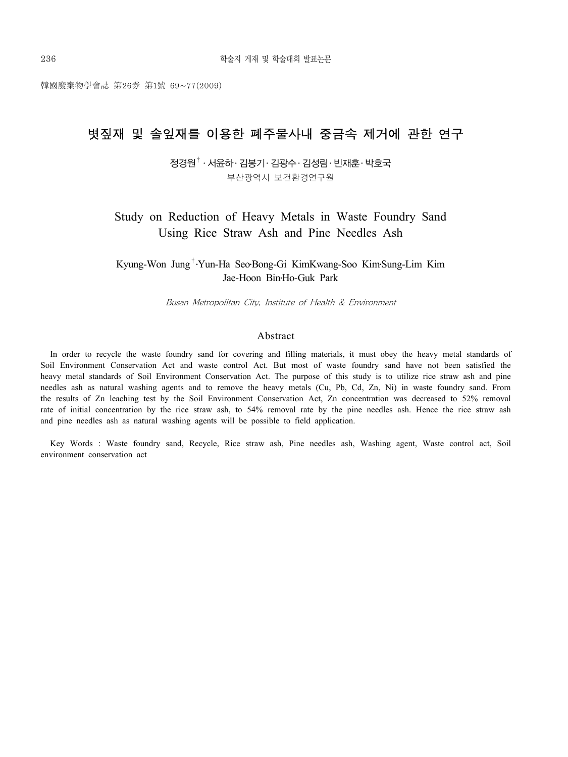韓國廢棄物學會誌 第26券 第1號 69~77(2009)

## 볏짚재 및 솔잎재를 이용한 폐주물사내 중금속 제거에 관한 연구

 $\texttt{X}$ 경원 $^\dagger$  · 서윤하· 김봉기· 김광수· 김성림· 빈재훈· 박호국 부산광역시 보건환경연구원

Study on Reduction of Heavy Metals in Waste Foundry Sand Using Rice Straw Ash and Pine Needles Ash

Kyung-Won Jung†․Yun-Ha Seo․Bong-Gi KimKwang-Soo Kim․Sung-Lim Kim Jae-Hoon Bin․Ho-Guk Park

Busan Metropolitan City, Institute of Health & Environment

#### Abstract

In order to recycle the waste foundry sand for covering and filling materials, it must obey the heavy metal standards of Soil Environment Conservation Act and waste control Act. But most of waste foundry sand have not been satisfied the heavy metal standards of Soil Environment Conservation Act. The purpose of this study is to utilize rice straw ash and pine needles ash as natural washing agents and to remove the heavy metals (Cu, Pb, Cd, Zn, Ni) in waste foundry sand. From the results of Zn leaching test by the Soil Environment Conservation Act, Zn concentration was decreased to 52% removal rate of initial concentration by the rice straw ash, to 54% removal rate by the pine needles ash. Hence the rice straw ash and pine needles ash as natural washing agents will be possible to field application.

Key Words : Waste foundry sand, Recycle, Rice straw ash, Pine needles ash, Washing agent, Waste control act, Soil environment conservation act